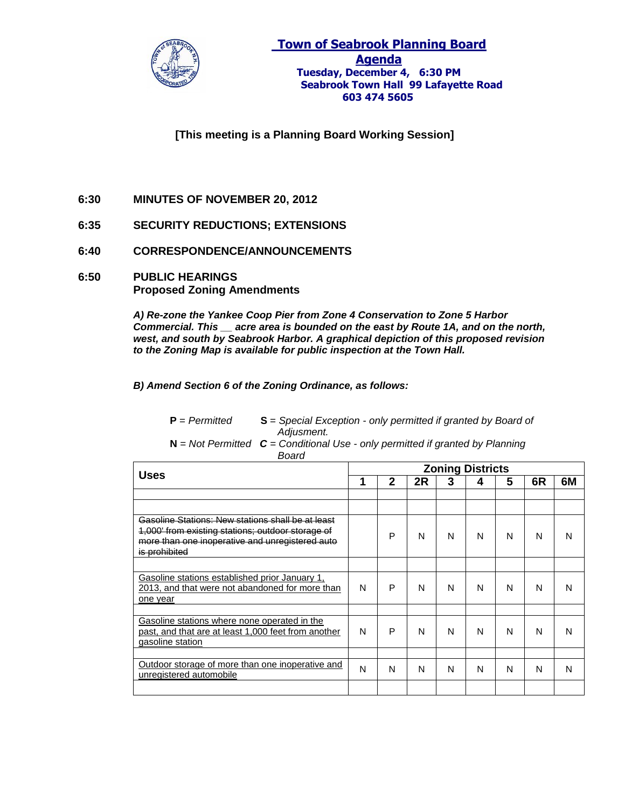

**[This meeting is a Planning Board Working Session]**

- **6:30 MINUTES OF NOVEMBER 20, 2012**
- **6:35 SECURITY REDUCTIONS; EXTENSIONS**
- **6:40 CORRESPONDENCE/ANNOUNCEMENTS**
- **6:50 PUBLIC HEARINGS Proposed Zoning Amendments**

*A) Re-zone the Yankee Coop Pier from Zone 4 Conservation to Zone 5 Harbor Commercial. This \_\_ acre area is bounded on the east by Route 1A, and on the north, west, and south by Seabrook Harbor. A graphical depiction of this proposed revision to the Zoning Map is available for public inspection at the Town Hall.*

*B) Amend Section 6 of the Zoning Ordinance, as follows:*

| $P = Permitted$ | $S =$ Special Exception - only permitted if granted by Board of |        |            |  |  |  |  |  |  |  |  |  |  |  |
|-----------------|-----------------------------------------------------------------|--------|------------|--|--|--|--|--|--|--|--|--|--|--|
|                 |                                                                 |        | Adjusment. |  |  |  |  |  |  |  |  |  |  |  |
| . .             |                                                                 | $\sim$ |            |  |  |  |  |  |  |  |  |  |  |  |

**N** = *Not Permitted C = Conditional Use - only permitted if granted by Planning* *Board*

| <b>Uses</b>                                                                                                                                                                |   | <b>Zoning Districts</b> |    |   |   |   |    |    |  |  |
|----------------------------------------------------------------------------------------------------------------------------------------------------------------------------|---|-------------------------|----|---|---|---|----|----|--|--|
|                                                                                                                                                                            |   | 2                       | 2R | 3 | 4 | 5 | 6R | 6M |  |  |
|                                                                                                                                                                            |   |                         |    |   |   |   |    |    |  |  |
|                                                                                                                                                                            |   |                         |    |   |   |   |    |    |  |  |
| Gasoline Stations: New stations shall be at least<br>1,000' from existing stations; outdoor storage of<br>more than one inoperative and unregistered auto<br>is prohibited |   | P                       | N  | N | N | N | N  | N  |  |  |
|                                                                                                                                                                            |   |                         |    |   |   |   |    |    |  |  |
| Gasoline stations established prior January 1,<br>2013, and that were not abandoned for more than<br>one year                                                              | N | P                       | N  | N | N | N | N  | N  |  |  |
|                                                                                                                                                                            |   |                         |    |   |   |   |    |    |  |  |
| Gasoline stations where none operated in the<br>past, and that are at least 1,000 feet from another<br>gasoline station                                                    | N | P                       | N  | N | N | N | N  | N  |  |  |
|                                                                                                                                                                            |   |                         |    |   |   |   |    |    |  |  |
| Outdoor storage of more than one inoperative and<br>unregistered automobile                                                                                                | N | N                       | N  | N | N | N | N  | N  |  |  |
|                                                                                                                                                                            |   |                         |    |   |   |   |    |    |  |  |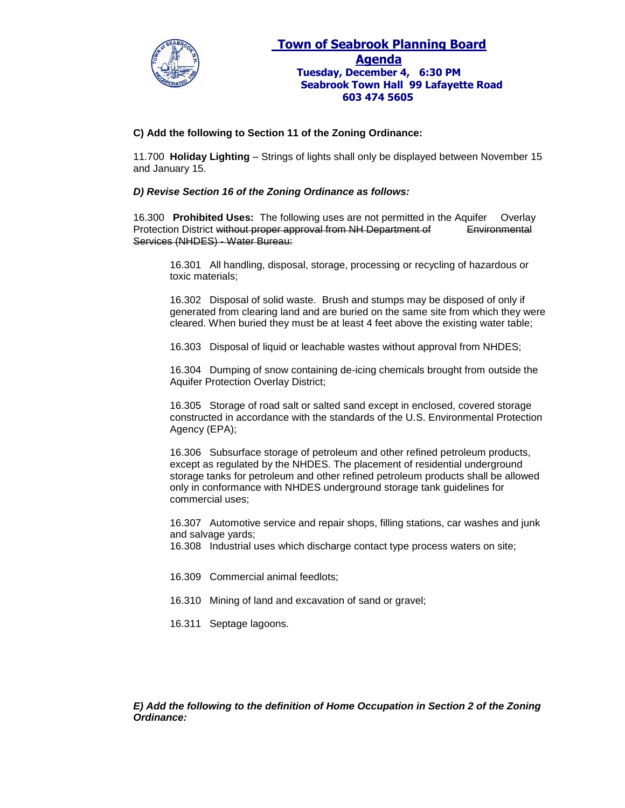

## **C) Add the following to Section 11 of the Zoning Ordinance:**

11.700 **Holiday Lighting** – Strings of lights shall only be displayed between November 15 and January 15.

#### *D) Revise Section 16 of the Zoning Ordinance as follows:*

16.300 **Prohibited Uses:** The following uses are not permitted in the Aquifer Overlay Protection District without proper approval from NH Department of Environmental Services (NHDES) - Water Bureau:

16.301 All handling, disposal, storage, processing or recycling of hazardous or toxic materials;

16.302 Disposal of solid waste. Brush and stumps may be disposed of only if generated from clearing land and are buried on the same site from which they were cleared. When buried they must be at least 4 feet above the existing water table;

16.303 Disposal of liquid or leachable wastes without approval from NHDES;

16.304 Dumping of snow containing de-icing chemicals brought from outside the Aquifer Protection Overlay District;

16.305 Storage of road salt or salted sand except in enclosed, covered storage constructed in accordance with the standards of the U.S. Environmental Protection Agency (EPA);

16.306 Subsurface storage of petroleum and other refined petroleum products, except as regulated by the NHDES. The placement of residential underground storage tanks for petroleum and other refined petroleum products shall be allowed only in conformance with NHDES underground storage tank guidelines for commercial uses;

16.307 Automotive service and repair shops, filling stations, car washes and junk and salvage yards;

16.308 Industrial uses which discharge contact type process waters on site;

- 16.309 Commercial animal feedlots;
- 16.310 Mining of land and excavation of sand or gravel;
- 16.311 Septage lagoons.

*E) Add the following to the definition of Home Occupation in Section 2 of the Zoning Ordinance:*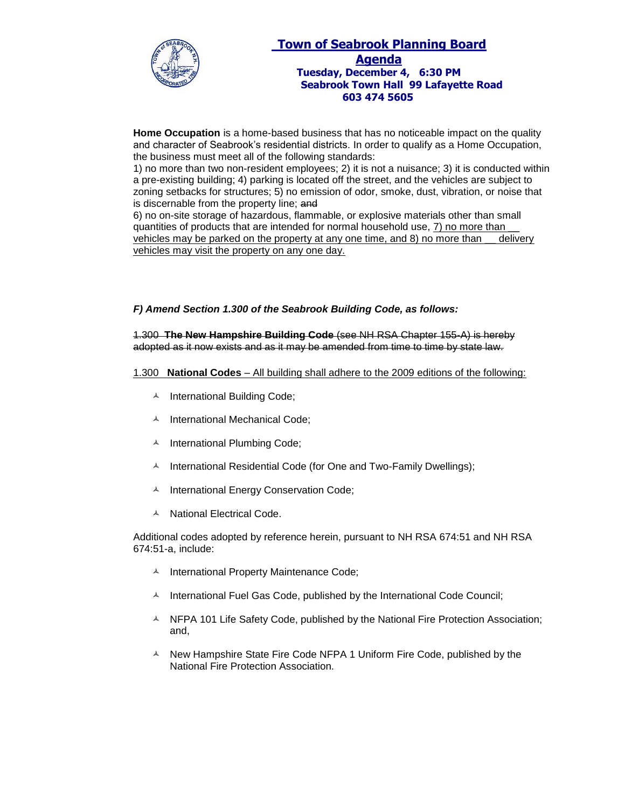

# **Town of Seabrook Planning Board Agenda Tuesday, December 4, 6:30 PM Seabrook Town Hall 99 Lafayette Road 603 474 5605**

**Home Occupation** is a home-based business that has no noticeable impact on the quality and character of Seabrook's residential districts. In order to qualify as a Home Occupation, the business must meet all of the following standards:

1) no more than two non-resident employees; 2) it is not a nuisance; 3) it is conducted within a pre-existing building; 4) parking is located off the street, and the vehicles are subject to zoning setbacks for structures; 5) no emission of odor, smoke, dust, vibration, or noise that is discernable from the property line; and

6) no on-site storage of hazardous, flammable, or explosive materials other than small quantities of products that are intended for normal household use, 7) no more than \_\_ vehicles may be parked on the property at any one time, and 8) no more than \_\_ delivery vehicles may visit the property on any one day.

# *F) Amend Section 1.300 of the Seabrook Building Code, as follows:*

1.300 **The New Hampshire Building Code** (see NH RSA Chapter 155-A) is hereby adopted as it now exists and as it may be amended from time to time by state law.

#### 1.300 **National Codes** – All building shall adhere to the 2009 editions of the following:

- A International Building Code;
- A International Mechanical Code;
- A International Plumbing Code;
- $\text{A}$  International Residential Code (for One and Two-Family Dwellings);
- A International Energy Conservation Code;
- A National Electrical Code.

Additional codes adopted by reference herein, pursuant to NH RSA 674:51 and NH RSA 674:51-a, include:

- A International Property Maintenance Code;
- $\textstyle\bigwedge$  International Fuel Gas Code, published by the International Code Council;
- $\blacktriangle$  NFPA 101 Life Safety Code, published by the National Fire Protection Association; and,
- $\triangle$  New Hampshire State Fire Code NFPA 1 Uniform Fire Code, published by the National Fire Protection Association.